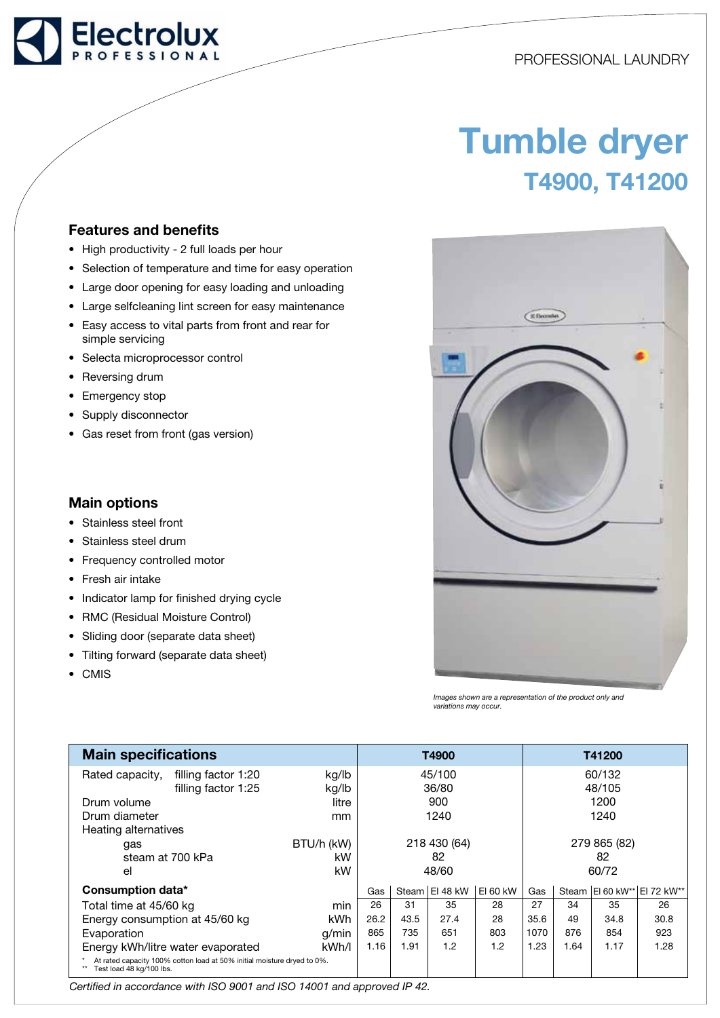# Electrolux

# PROFESSIONAL LAUNDRY

# Tumble dryer T4900, T41200

### Features and benefits

- High productivity 2 full loads per hour
- Selection of temperature and time for easy operation
- Large door opening for easy loading and unloading
- Large selfcleaning lint screen for easy maintenance
- Easy access to vital parts from front and rear for simple servicing
- Selecta microprocessor control
- Reversing drum
- Emergency stop
- Supply disconnector
- Gas reset from front (gas version)

## Main options

- Stainless steel front
- Stainless steel drum
- Frequency controlled motor
- Fresh air intake
- Indicator lamp for finished drying cycle
- RMC (Residual Moisture Control)
- Sliding door (separate data sheet)
- Tilting forward (separate data sheet)
- CMIS



Images shown are a representation of the product only and variations may occur.

| <b>Main specifications</b>                                                                          |            |              |      | T4900          |              |      |      | T41200 |                                 |
|-----------------------------------------------------------------------------------------------------|------------|--------------|------|----------------|--------------|------|------|--------|---------------------------------|
| filling factor 1:20<br>Rated capacity,                                                              | kg/lb      | 45/100       |      |                | 60/132       |      |      |        |                                 |
| filling factor 1:25                                                                                 | kg/lb      | 36/80        |      |                | 48/105       |      |      |        |                                 |
| Drum volume                                                                                         | litre      | 900          |      |                | 1200         |      |      |        |                                 |
| Drum diameter                                                                                       | mm         | 1240         |      |                | 1240         |      |      |        |                                 |
| Heating alternatives                                                                                |            |              |      |                |              |      |      |        |                                 |
| gas                                                                                                 | BTU/h (kW) | 218 430 (64) |      |                | 279 865 (82) |      |      |        |                                 |
| steam at 700 kPa                                                                                    | kW         | 82           |      |                | 82           |      |      |        |                                 |
| el                                                                                                  | kW         | 48/60        |      |                | 60/72        |      |      |        |                                 |
| Consumption data*                                                                                   |            | Gas          |      | Steam El 48 kW | EI 60 kW     | Gas  |      |        | Steam   EI 60 kW**   EI 72 kW** |
| Total time at 45/60 kg                                                                              | min        | 26           | 31   | 35             | 28           | 27   | 34   | 35     | 26                              |
| Energy consumption at 45/60 kg                                                                      | <b>kWh</b> | 26.2         | 43.5 | 27.4           | 28           | 35.6 | 49   | 34.8   | 30.8                            |
| Evaporation                                                                                         | q/min      | 865          | 735  | 651            | 803          | 1070 | 876  | 854    | 923                             |
| Energy kWh/litre water evaporated                                                                   | kWh/l      | 1.16         | 1.91 | 1.2            | 1.2          | 1.23 | 1.64 | 1.17   | 1.28                            |
| At rated capacity 100% cotton load at 50% initial moisture dryed to 0%.<br>Test load 48 kg/100 lbs. |            |              |      |                |              |      |      |        |                                 |

Certified in accordance with ISO 9001 and ISO 14001 and approved IP 42.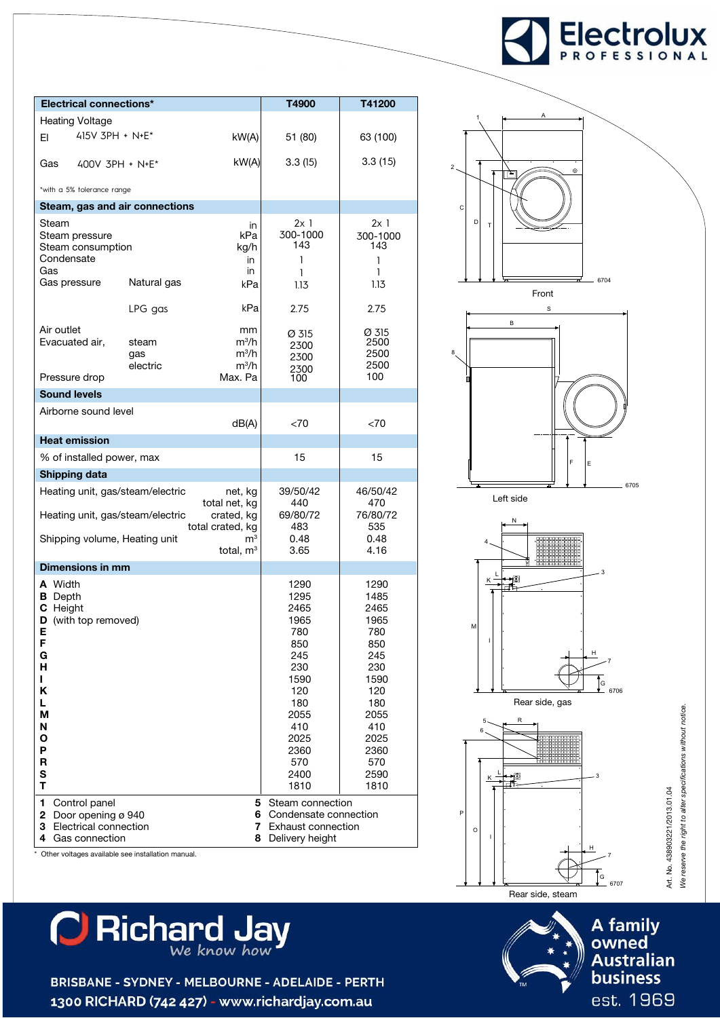

| <b>Electrical connections*</b>                                                                                                       |                                                   |                                                | T4900                                                                                                                                | T41200                                                                                                                               |  |
|--------------------------------------------------------------------------------------------------------------------------------------|---------------------------------------------------|------------------------------------------------|--------------------------------------------------------------------------------------------------------------------------------------|--------------------------------------------------------------------------------------------------------------------------------------|--|
| <b>Heating Voltage</b>                                                                                                               |                                                   |                                                |                                                                                                                                      |                                                                                                                                      |  |
| $415V$ 3PH + N+E <sup>*</sup><br>EI.                                                                                                 |                                                   | kW(A)                                          | 51 (80)                                                                                                                              | 63 (100)                                                                                                                             |  |
| Gas<br>$400V$ 3PH + N+E <sup>*</sup>                                                                                                 |                                                   | kW(A)                                          | 3.3(15)                                                                                                                              | 3.3(15)                                                                                                                              |  |
| *with a 5% tolerance range                                                                                                           |                                                   |                                                |                                                                                                                                      |                                                                                                                                      |  |
| Steam, gas and air connections                                                                                                       |                                                   |                                                |                                                                                                                                      |                                                                                                                                      |  |
| Steam<br>Steam pressure<br>Steam consumption<br>Condensate<br>Gas<br>Gas pressure                                                    | Natural gas                                       | in<br>kPa<br>kg/h<br>in<br>in<br>kPa           | 2x1<br>300-1000<br>143<br>1<br>1<br>1.13                                                                                             | 2x1<br>300-1000<br>143<br>1<br>1<br>1.13                                                                                             |  |
|                                                                                                                                      | LPG gas                                           | kPa                                            | 2.75                                                                                                                                 | 2.75                                                                                                                                 |  |
| Air outlet<br>Evacuated air,<br>Pressure drop                                                                                        | steam<br>gas<br>electric                          | mm<br>$m^3/h$<br>$m^3/h$<br>$m^3/h$<br>Max. Pa | Ø 315<br>2300<br>2300<br>2300<br>100                                                                                                 | Ø 315<br>2500<br>2500<br>2500<br>100                                                                                                 |  |
| <b>Sound levels</b>                                                                                                                  |                                                   |                                                |                                                                                                                                      |                                                                                                                                      |  |
| Airborne sound level                                                                                                                 |                                                   | < 70                                           | < 70                                                                                                                                 |                                                                                                                                      |  |
| <b>Heat emission</b>                                                                                                                 |                                                   |                                                |                                                                                                                                      |                                                                                                                                      |  |
| % of installed power, max                                                                                                            |                                                   | 15                                             | 15                                                                                                                                   |                                                                                                                                      |  |
| <b>Shipping data</b>                                                                                                                 |                                                   |                                                |                                                                                                                                      |                                                                                                                                      |  |
| Heating unit, gas/steam/electric                                                                                                     |                                                   | 39/50/42<br>440                                | 46/50/42<br>470                                                                                                                      |                                                                                                                                      |  |
| Heating unit, gas/steam/electric<br>crated, kg<br>total crated, kg                                                                   |                                                   |                                                | 69/80/72<br>483                                                                                                                      | 76/80/72<br>535                                                                                                                      |  |
| Shipping volume, Heating unit<br>$\mathsf{m}^3$<br>total, $m3$                                                                       |                                                   |                                                | 0.48<br>3.65                                                                                                                         | 0.48<br>4.16                                                                                                                         |  |
| Dimensions in mm                                                                                                                     |                                                   |                                                |                                                                                                                                      |                                                                                                                                      |  |
| A Width<br><b>B</b> Depth<br>C Height<br>D (with top removed)<br>Е<br>F<br>G<br>н<br>L<br>Κ<br>L.<br>М<br>N<br>Ο<br>P<br>R<br>S<br>T |                                                   |                                                | 1290<br>1295<br>2465<br>1965<br>780<br>850<br>245<br>230<br>1590<br>120<br>180<br>2055<br>410<br>2025<br>2360<br>570<br>2400<br>1810 | 1290<br>1485<br>2465<br>1965<br>780<br>850<br>245<br>230<br>1590<br>120<br>180<br>2055<br>410<br>2025<br>2360<br>570<br>2590<br>1810 |  |
| 1<br>Control panel<br>$\mathbf{2}^-$<br>Door opening ø 940<br>Electrical connection<br>3<br>Gas connection<br>4                      | Other voltages available see installation manual. | 5<br>6.<br>7.<br>8.                            | Steam connection<br>Condensate connection<br>Exhaust connection<br>Delivery height                                                   |                                                                                                                                      |  |



2

8





Art. No. 438903221/2013.01.04<br>We reserve the right to alter specifications without notice. We reserve the right to alter specifications without notice. Art. No. 438903221/2013.01.04 A family owned **Australian business** 



BRISBANE - SYDNEY - MELBOURNE - ADELAIDE - PERTH 1300 RICHARD (742 427) - www.richardjay.com.au